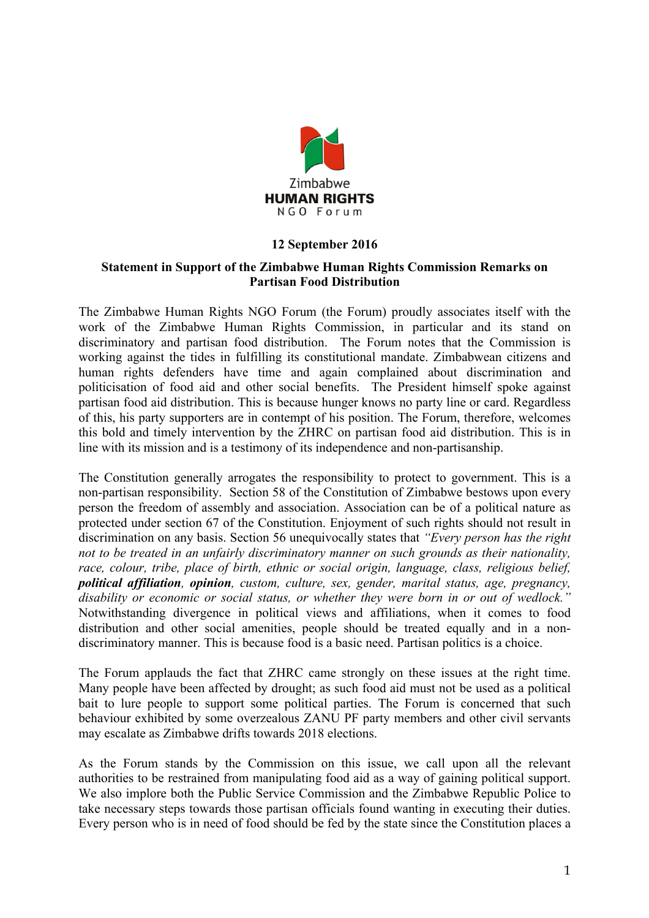

## **12 September 2016**

## **Statement in Support of the Zimbabwe Human Rights Commission Remarks on Partisan Food Distribution**

The Zimbabwe Human Rights NGO Forum (the Forum) proudly associates itself with the work of the Zimbabwe Human Rights Commission, in particular and its stand on discriminatory and partisan food distribution. The Forum notes that the Commission is working against the tides in fulfilling its constitutional mandate. Zimbabwean citizens and human rights defenders have time and again complained about discrimination and politicisation of food aid and other social benefits. The President himself spoke against partisan food aid distribution. This is because hunger knows no party line or card. Regardless of this, his party supporters are in contempt of his position. The Forum, therefore, welcomes this bold and timely intervention by the ZHRC on partisan food aid distribution. This is in line with its mission and is a testimony of its independence and non-partisanship.

The Constitution generally arrogates the responsibility to protect to government. This is a non-partisan responsibility. Section 58 of the Constitution of Zimbabwe bestows upon every person the freedom of assembly and association. Association can be of a political nature as protected under section 67 of the Constitution. Enjoyment of such rights should not result in discrimination on any basis. Section 56 unequivocally states that *"Every person has the right not to be treated in an unfairly discriminatory manner on such grounds as their nationality, race, colour, tribe, place of birth, ethnic or social origin, language, class, religious belief, political affiliation, opinion, custom, culture, sex, gender, marital status, age, pregnancy, disability or economic or social status, or whether they were born in or out of wedlock."*  Notwithstanding divergence in political views and affiliations, when it comes to food distribution and other social amenities, people should be treated equally and in a nondiscriminatory manner. This is because food is a basic need. Partisan politics is a choice.

The Forum applauds the fact that ZHRC came strongly on these issues at the right time. Many people have been affected by drought; as such food aid must not be used as a political bait to lure people to support some political parties. The Forum is concerned that such behaviour exhibited by some overzealous ZANU PF party members and other civil servants may escalate as Zimbabwe drifts towards 2018 elections.

As the Forum stands by the Commission on this issue, we call upon all the relevant authorities to be restrained from manipulating food aid as a way of gaining political support. We also implore both the Public Service Commission and the Zimbabwe Republic Police to take necessary steps towards those partisan officials found wanting in executing their duties. Every person who is in need of food should be fed by the state since the Constitution places a